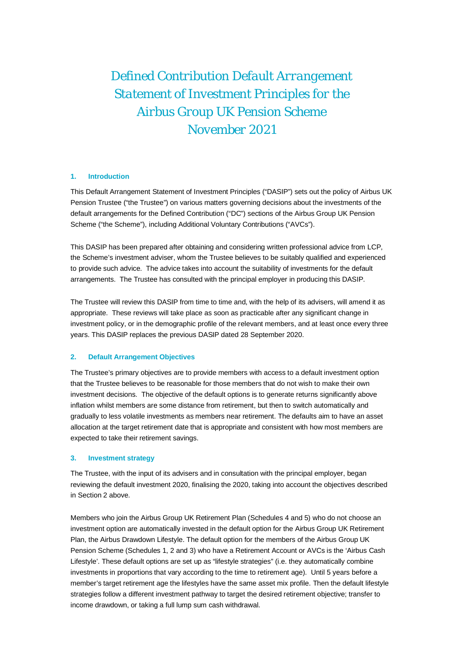*Defined Contribution Default Arrangement Statement of Investment Principles for the Airbus Group UK Pension Scheme November 2021*

## **1. Introduction**

This Default Arrangement Statement of Investment Principles ("DASIP") sets out the policy of Airbus UK Pension Trustee ("the Trustee") on various matters governing decisions about the investments of the default arrangements for the Defined Contribution ("DC") sections of the Airbus Group UK Pension Scheme ("the Scheme"), including Additional Voluntary Contributions ("AVCs").

This DASIP has been prepared after obtaining and considering written professional advice from LCP, the Scheme's investment adviser, whom the Trustee believes to be suitably qualified and experienced to provide such advice. The advice takes into account the suitability of investments for the default arrangements. The Trustee has consulted with the principal employer in producing this DASIP.

The Trustee will review this DASIP from time to time and, with the help of its advisers, will amend it as appropriate. These reviews will take place as soon as practicable after any significant change in investment policy, or in the demographic profile of the relevant members, and at least once every three years. This DASIP replaces the previous DASIP dated 28 September 2020.

# **2. Default Arrangement Objectives**

The Trustee's primary objectives are to provide members with access to a default investment option that the Trustee believes to be reasonable for those members that do not wish to make their own investment decisions. The objective of the default options is to generate returns significantly above inflation whilst members are some distance from retirement, but then to switch automatically and gradually to less volatile investments as members near retirement. The defaults aim to have an asset allocation at the target retirement date that is appropriate and consistent with how most members are expected to take their retirement savings.

### **3. Investment strategy**

The Trustee, with the input of its advisers and in consultation with the principal employer, began reviewing the default investment 2020, finalising the 2020, taking into account the objectives described in Section 2 above.

Members who join the Airbus Group UK Retirement Plan (Schedules 4 and 5) who do not choose an investment option are automatically invested in the default option for the Airbus Group UK Retirement Plan, the Airbus Drawdown Lifestyle. The default option for the members of the Airbus Group UK Pension Scheme (Schedules 1, 2 and 3) who have a Retirement Account or AVCs is the 'Airbus Cash Lifestyle'. These default options are set up as "lifestyle strategies" (i.e. they automatically combine investments in proportions that vary according to the time to retirement age). Until 5 years before a member's target retirement age the lifestyles have the same asset mix profile. Then the default lifestyle strategies follow a different investment pathway to target the desired retirement objective; transfer to income drawdown, or taking a full lump sum cash withdrawal.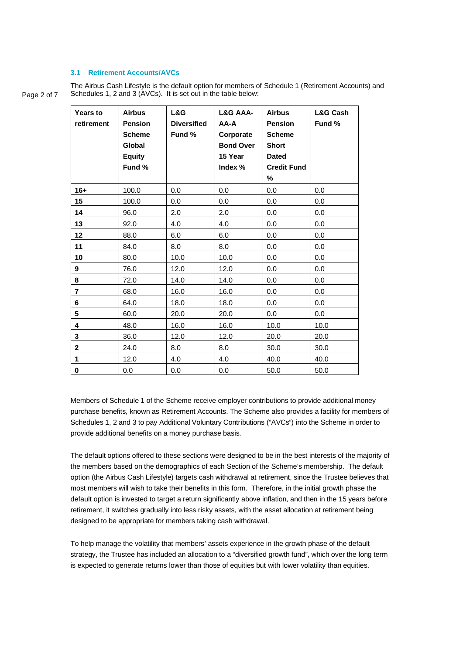# **3.1 Retirement Accounts/AVCs**

Page 2 of 7 The Airbus Cash Lifestyle is the default option for members of Schedule 1 (Retirement Accounts) and Schedules 1, 2 and 3 (AVCs). It is set out in the table below:

| <b>Years to</b><br>retirement | <b>Airbus</b><br><b>Pension</b><br><b>Scheme</b><br>Global<br><b>Equity</b><br>Fund % | L&G<br><b>Diversified</b><br>Fund % | L&G AAA-<br>AA-A<br>Corporate<br><b>Bond Over</b><br>15 Year<br>Index $%$ | <b>Airbus</b><br><b>Pension</b><br><b>Scheme</b><br><b>Short</b><br><b>Dated</b><br><b>Credit Fund</b><br>% | <b>L&amp;G Cash</b><br>Fund % |
|-------------------------------|---------------------------------------------------------------------------------------|-------------------------------------|---------------------------------------------------------------------------|-------------------------------------------------------------------------------------------------------------|-------------------------------|
| $16+$                         | 100.0                                                                                 | 0.0                                 | 0.0                                                                       | 0.0                                                                                                         | 0.0                           |
| 15                            | 100.0                                                                                 | 0.0                                 | 0.0                                                                       | 0.0                                                                                                         | 0.0                           |
| 14                            | 96.0                                                                                  | 2.0                                 | 2.0                                                                       | 0.0                                                                                                         | 0.0                           |
| 13                            | 92.0                                                                                  | 4.0                                 | 4.0                                                                       | 0.0                                                                                                         | 0.0                           |
| 12                            | 88.0                                                                                  | 6.0                                 | 6.0                                                                       | 0.0                                                                                                         | 0.0                           |
| 11                            | 84.0                                                                                  | 8.0                                 | 8.0                                                                       | 0.0                                                                                                         | 0.0                           |
| 10                            | 80.0                                                                                  | 10.0                                | 10.0                                                                      | 0.0                                                                                                         | 0.0                           |
| 9                             | 76.0                                                                                  | 12.0                                | 12.0                                                                      | 0.0                                                                                                         | 0.0                           |
| 8                             | 72.0                                                                                  | 14.0                                | 14.0                                                                      | 0.0                                                                                                         | 0.0                           |
| $\overline{7}$                | 68.0                                                                                  | 16.0                                | 16.0                                                                      | 0.0                                                                                                         | 0.0                           |
| 6                             | 64.0                                                                                  | 18.0                                | 18.0                                                                      | 0.0                                                                                                         | 0.0                           |
| 5                             | 60.0                                                                                  | 20.0                                | 20.0                                                                      | 0.0                                                                                                         | 0.0                           |
| 4                             | 48.0                                                                                  | 16.0                                | 16.0                                                                      | 10.0                                                                                                        | 10.0                          |
| 3                             | 36.0                                                                                  | 12.0                                | 12.0                                                                      | 20.0                                                                                                        | 20.0                          |
| $\mathbf 2$                   | 24.0                                                                                  | 8.0                                 | 8.0                                                                       | 30.0                                                                                                        | 30.0                          |
| $\mathbf{1}$                  | 12.0                                                                                  | 4.0                                 | 4.0                                                                       | 40.0                                                                                                        | 40.0                          |
| 0                             | 0.0                                                                                   | 0.0                                 | 0.0                                                                       | 50.0                                                                                                        | 50.0                          |

Members of Schedule 1 of the Scheme receive employer contributions to provide additional money purchase benefits, known as Retirement Accounts. The Scheme also provides a facility for members of Schedules 1, 2 and 3 to pay Additional Voluntary Contributions ("AVCs") into the Scheme in order to provide additional benefits on a money purchase basis.

The default options offered to these sections were designed to be in the best interests of the majority of the members based on the demographics of each Section of the Scheme's membership. The default option (the Airbus Cash Lifestyle) targets cash withdrawal at retirement, since the Trustee believes that most members will wish to take their benefits in this form. Therefore, in the initial growth phase the default option is invested to target a return significantly above inflation, and then in the 15 years before retirement, it switches gradually into less risky assets, with the asset allocation at retirement being designed to be appropriate for members taking cash withdrawal.

To help manage the volatility that members' assets experience in the growth phase of the default strategy, the Trustee has included an allocation to a "diversified growth fund", which over the long term is expected to generate returns lower than those of equities but with lower volatility than equities.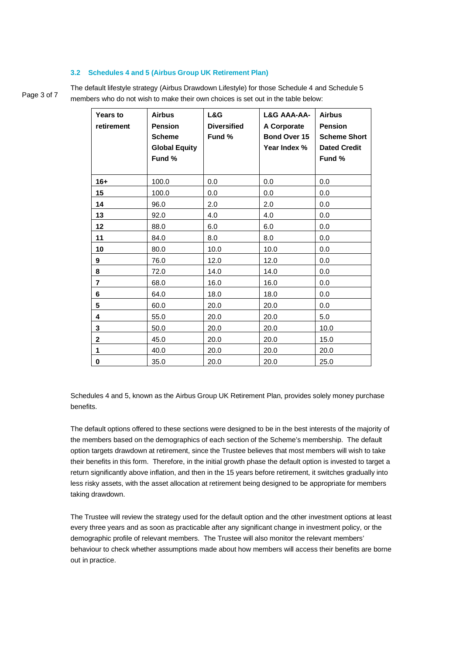### **3.2 Schedules 4 and 5 (Airbus Group UK Retirement Plan)**

Page 3 of 7

The default lifestyle strategy (Airbus Drawdown Lifestyle) for those Schedule 4 and Schedule 5 members who do not wish to make their own choices is set out in the table below:

| Years to<br>retirement | <b>Airbus</b><br><b>Pension</b><br><b>Scheme</b><br><b>Global Equity</b><br>Fund % | L&G<br><b>Diversified</b><br>Fund % | L&G AAA-AA-<br>A Corporate<br>Bond Over 15<br>Year Index % | <b>Airbus</b><br><b>Pension</b><br><b>Scheme Short</b><br><b>Dated Credit</b><br>Fund % |
|------------------------|------------------------------------------------------------------------------------|-------------------------------------|------------------------------------------------------------|-----------------------------------------------------------------------------------------|
| $16+$                  | 100.0                                                                              | 0.0                                 | 0.0                                                        | 0.0                                                                                     |
| 15                     | 100.0                                                                              | 0.0                                 | 0.0                                                        | 0.0                                                                                     |
| 14                     | 96.0                                                                               | 2.0                                 | 2.0                                                        | 0.0                                                                                     |
| 13                     | 92.0                                                                               | 4.0                                 | 4.0                                                        | 0.0                                                                                     |
| 12                     | 88.0                                                                               | 6.0                                 | 6.0                                                        | 0.0                                                                                     |
| 11                     | 84.0                                                                               | 8.0                                 | 8.0                                                        | 0.0                                                                                     |
| 10                     | 80.0                                                                               | 10.0                                | 10.0                                                       | 0.0                                                                                     |
| 9                      | 76.0                                                                               | 12.0                                | 12.0                                                       | 0.0                                                                                     |
| 8                      | 72.0                                                                               | 14.0                                | 14.0                                                       | 0.0                                                                                     |
| $\overline{7}$         | 68.0                                                                               | 16.0                                | 16.0                                                       | 0.0                                                                                     |
| 6                      | 64.0                                                                               | 18.0                                | 18.0                                                       | 0.0                                                                                     |
| 5                      | 60.0                                                                               | 20.0                                | 20.0                                                       | 0.0                                                                                     |
| 4                      | 55.0                                                                               | 20.0                                | 20.0                                                       | 5.0                                                                                     |
| 3                      | 50.0                                                                               | 20.0                                | 20.0                                                       | 10.0                                                                                    |
| 2                      | 45.0                                                                               | 20.0                                | 20.0                                                       | 15.0                                                                                    |
| 1                      | 40.0                                                                               | 20.0                                | 20.0                                                       | 20.0                                                                                    |
| 0                      | 35.0                                                                               | 20.0                                | 20.0                                                       | 25.0                                                                                    |

Schedules 4 and 5, known as the Airbus Group UK Retirement Plan, provides solely money purchase benefits.

The default options offered to these sections were designed to be in the best interests of the majority of the members based on the demographics of each section of the Scheme's membership. The default option targets drawdown at retirement, since the Trustee believes that most members will wish to take their benefits in this form. Therefore, in the initial growth phase the default option is invested to target a return significantly above inflation, and then in the 15 years before retirement, it switches gradually into less risky assets, with the asset allocation at retirement being designed to be appropriate for members taking drawdown.

The Trustee will review the strategy used for the default option and the other investment options at least every three years and as soon as practicable after any significant change in investment policy, or the demographic profile of relevant members. The Trustee will also monitor the relevant members' behaviour to check whether assumptions made about how members will access their benefits are borne out in practice.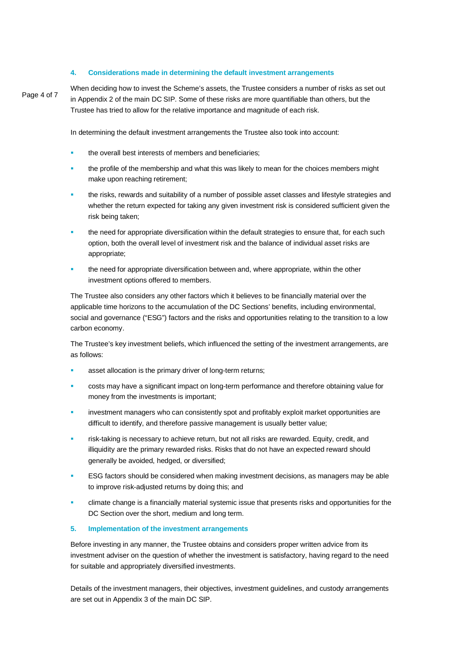## **4. Considerations made in determining the default investment arrangements**

Page 4 of 7

When deciding how to invest the Scheme's assets, the Trustee considers a number of risks as set out in Appendix 2 of the main DC SIP. Some of these risks are more quantifiable than others, but the Trustee has tried to allow for the relative importance and magnitude of each risk.

In determining the default investment arrangements the Trustee also took into account:

- the overall best interests of members and beneficiaries;
- the profile of the membership and what this was likely to mean for the choices members might make upon reaching retirement;
- the risks, rewards and suitability of a number of possible asset classes and lifestyle strategies and whether the return expected for taking any given investment risk is considered sufficient given the risk being taken;
- the need for appropriate diversification within the default strategies to ensure that, for each such option, both the overall level of investment risk and the balance of individual asset risks are appropriate;
- the need for appropriate diversification between and, where appropriate, within the other investment options offered to members.

The Trustee also considers any other factors which it believes to be financially material over the applicable time horizons to the accumulation of the DC Sections' benefits, including environmental, social and governance ("ESG") factors and the risks and opportunities relating to the transition to a low carbon economy.

The Trustee's key investment beliefs, which influenced the setting of the investment arrangements, are as follows:

- asset allocation is the primary driver of long-term returns;
- costs may have a significant impact on long-term performance and therefore obtaining value for money from the investments is important;
- investment managers who can consistently spot and profitably exploit market opportunities are difficult to identify, and therefore passive management is usually better value;
- risk-taking is necessary to achieve return, but not all risks are rewarded. Equity, credit, and illiquidity are the primary rewarded risks. Risks that do not have an expected reward should generally be avoided, hedged, or diversified;
- ESG factors should be considered when making investment decisions, as managers may be able to improve risk-adjusted returns by doing this; and
- climate change is a financially material systemic issue that presents risks and opportunities for the DC Section over the short, medium and long term.

#### **5. Implementation of the investment arrangements**

Before investing in any manner, the Trustee obtains and considers proper written advice from its investment adviser on the question of whether the investment is satisfactory, having regard to the need for suitable and appropriately diversified investments.

Details of the investment managers, their objectives, investment guidelines, and custody arrangements are set out in Appendix 3 of the main DC SIP.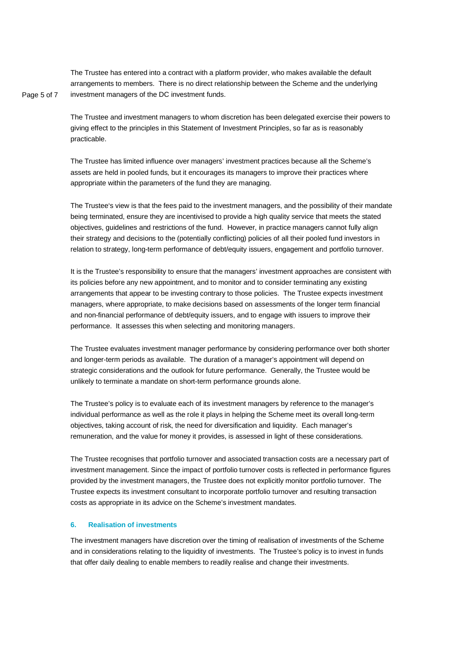The Trustee has entered into a contract with a platform provider, who makes available the default arrangements to members. There is no direct relationship between the Scheme and the underlying investment managers of the DC investment funds.

Page 5 of 7

The Trustee and investment managers to whom discretion has been delegated exercise their powers to giving effect to the principles in this Statement of Investment Principles, so far as is reasonably practicable.

The Trustee has limited influence over managers' investment practices because all the Scheme's assets are held in pooled funds, but it encourages its managers to improve their practices where appropriate within the parameters of the fund they are managing.

The Trustee's view is that the fees paid to the investment managers, and the possibility of their mandate being terminated, ensure they are incentivised to provide a high quality service that meets the stated objectives, guidelines and restrictions of the fund. However, in practice managers cannot fully align their strategy and decisions to the (potentially conflicting) policies of all their pooled fund investors in relation to strategy, long-term performance of debt/equity issuers, engagement and portfolio turnover.

It is the Trustee's responsibility to ensure that the managers' investment approaches are consistent with its policies before any new appointment, and to monitor and to consider terminating any existing arrangements that appear to be investing contrary to those policies. The Trustee expects investment managers, where appropriate, to make decisions based on assessments of the longer term financial and non-financial performance of debt/equity issuers, and to engage with issuers to improve their performance. It assesses this when selecting and monitoring managers.

The Trustee evaluates investment manager performance by considering performance over both shorter and longer-term periods as available. The duration of a manager's appointment will depend on strategic considerations and the outlook for future performance. Generally, the Trustee would be unlikely to terminate a mandate on short-term performance grounds alone.

The Trustee's policy is to evaluate each of its investment managers by reference to the manager's individual performance as well as the role it plays in helping the Scheme meet its overall long-term objectives, taking account of risk, the need for diversification and liquidity. Each manager's remuneration, and the value for money it provides, is assessed in light of these considerations.

The Trustee recognises that portfolio turnover and associated transaction costs are a necessary part of investment management. Since the impact of portfolio turnover costs is reflected in performance figures provided by the investment managers, the Trustee does not explicitly monitor portfolio turnover. The Trustee expects its investment consultant to incorporate portfolio turnover and resulting transaction costs as appropriate in its advice on the Scheme's investment mandates.

## **6. Realisation of investments**

The investment managers have discretion over the timing of realisation of investments of the Scheme and in considerations relating to the liquidity of investments. The Trustee's policy is to invest in funds that offer daily dealing to enable members to readily realise and change their investments.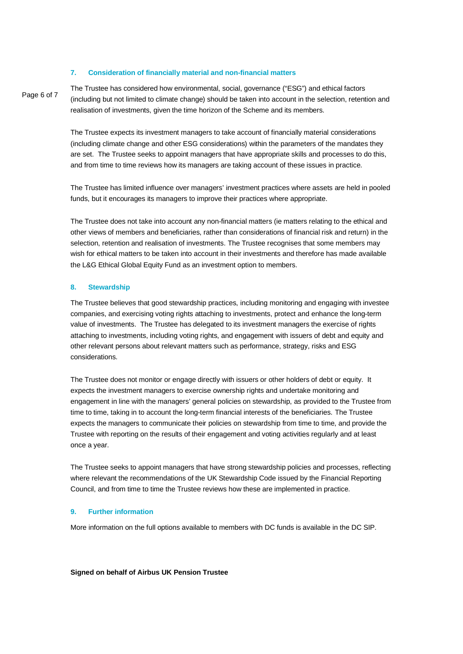### **7. Consideration of financially material and non-financial matters**

Page 6 of 7

The Trustee has considered how environmental, social, governance ("ESG") and ethical factors (including but not limited to climate change) should be taken into account in the selection, retention and realisation of investments, given the time horizon of the Scheme and its members.

The Trustee expects its investment managers to take account of financially material considerations (including climate change and other ESG considerations) within the parameters of the mandates they are set. The Trustee seeks to appoint managers that have appropriate skills and processes to do this, and from time to time reviews how its managers are taking account of these issues in practice.

The Trustee has limited influence over managers' investment practices where assets are held in pooled funds, but it encourages its managers to improve their practices where appropriate.

The Trustee does not take into account any non-financial matters (ie matters relating to the ethical and other views of members and beneficiaries, rather than considerations of financial risk and return) in the selection, retention and realisation of investments. The Trustee recognises that some members may wish for ethical matters to be taken into account in their investments and therefore has made available the L&G Ethical Global Equity Fund as an investment option to members.

#### **8. Stewardship**

The Trustee believes that good stewardship practices, including monitoring and engaging with investee companies, and exercising voting rights attaching to investments, protect and enhance the long-term value of investments. The Trustee has delegated to its investment managers the exercise of rights attaching to investments, including voting rights, and engagement with issuers of debt and equity and other relevant persons about relevant matters such as performance, strategy, risks and ESG considerations.

The Trustee does not monitor or engage directly with issuers or other holders of debt or equity. It expects the investment managers to exercise ownership rights and undertake monitoring and engagement in line with the managers' general policies on stewardship, as provided to the Trustee from time to time, taking in to account the long-term financial interests of the beneficiaries. The Trustee expects the managers to communicate their policies on stewardship from time to time, and provide the Trustee with reporting on the results of their engagement and voting activities regularly and at least once a year.

The Trustee seeks to appoint managers that have strong stewardship policies and processes, reflecting where relevant the recommendations of the UK Stewardship Code issued by the Financial Reporting Council, and from time to time the Trustee reviews how these are implemented in practice.

## **9. Further information**

More information on the full options available to members with DC funds is available in the DC SIP.

#### **Signed on behalf of Airbus UK Pension Trustee**